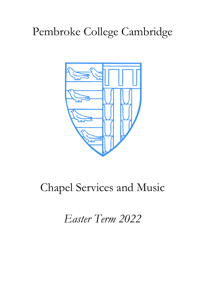# Pembroke College Cambridge



# Chapel Services and Music

*Easter Term 2022*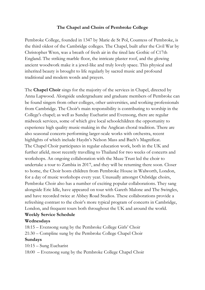# **The Chapel and Choirs of Pembroke College**

Pembroke College, founded in 1347 by Marie de St Pol, Countess of Pembroke, is the third oldest of the Cambridge colleges. The Chapel, built after the Civil War by Christopher Wren, was a breath of fresh air in the tired late Gothic of C17th England. The striking marble floor, the intricate plaster roof, and the glowing ancient woodwork make it a jewel-like and truly lovely space. This physical and inherited beauty is brought to life regularly by sacred music and profound traditional and modern words and prayers.

The **Chapel Choir** sings for the majority of the services in Chapel, directed by Anna Lapwood. Alongside undergraduate and graduate members of Pembroke can be found singers from other colleges, other universities, and working professionals from Cambridge. The Choir's main responsibility is contributing to worship in the College's chapel; as well as Sunday Eucharist and Evensong, there are regular midweek services, some of which give local schoolchildren the opportunity to experience high quality music-making in the Anglican choral tradition. There are also seasonal concerts performing larger-scale works with orchestra, recent highlights of which include Haydn's Nelson Mass and Bach's Magnificat. The Chapel Choir participates in regular education work, both in the UK and further afield, most recently travelling to Thailand for two weeks of concerts and workshops. An ongoing collaboration with the Muze Trust led the choir to undertake a tour to Zambia in 2017, and they will be returning there soon. Closer to home, the Choir hosts children from Pembroke House in Walworth, London, for a day of music workshops every year. Unusually amongst Oxbridge choirs, Pembroke Choir also has a number of exciting popular collaborations. They sang alongside Eric Idle, have appeared on tour with Gareth Malone and The Swingles, and have recorded twice at Abbey Road Studios. These collaborations provide a refreshing contrast to the choir's more typical program of concerts in Cambridge, London, and frequent tours both throughout the UK and around the world. **Weekly Service Schedule**

# **Wednesdays**

18:15 – Evensong sung by the Pembroke College Girls' Choir 21:30 – Compline sung by the Pembroke College Chapel Choir **Sundays**

10:15 – Sung Eucharist

18:00 – Evensong sung by the Pembroke College Chapel Choir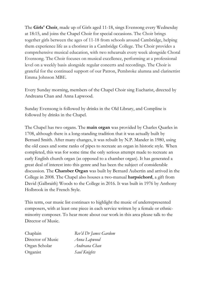The **Girls' Choir**, made up of Girls aged 11-18, sings Evensong every Wednesday at 18:15, and joins the Chapel Choir for special occasions. The Choir brings together girls between the ages of 11-18 from schools around Cambridge, helping them experience life as a chorister in a Cambridge College. The Choir provides a comprehensive musical education, with two rehearsals every week alongside Choral Evensong. The Choir focuses on musical excellence, performing at a professional level on a weekly basis alongside regular concerts and recordings. The Choir is grateful for the continued support of our Patron, Pembroke alumna and clarinettist Emma Johnson MBE.

Every Sunday morning, members of the Chapel Choir sing Eucharist, directed by Andreana Chan and Anna Lapwood.

Sunday Evensong is followed by drinks in the Old Library, and Compline is followed by drinks in the Chapel.

The Chapel has two organs. The **main organ** was provided by Charles Quarles in 1708, although there is a long-standing tradition that it was actually built by Bernard Smith. After many changes, it was rebuilt by N.P. Mander in 1980, using the old cases and some ranks of pipes to recreate an organ in historic style. When completed, this was for some time the only serious attempt made to recreate an early English church organ (as opposed to a chamber organ). It has generated a great deal of interest into this genre and has been the subject of considerable discussion. The **Chamber Organ** was built by Bernard Aubertin and arrived in the College in 2008. The Chapel also houses a two-manual **harpsichord**, a gift from David (Galbraith) Woods to the College in 2016. It was built in 1976 by Anthony Holbrook in the French Style.

This term, our music list continues to highlight the music of underrepresented composers, with at least one piece in each service written by a female or ethnicminority composer. To hear more about our work in this area please talk to the Director of Music.

Director of Music *Anna Lapwood* Organ Scholar *Andreana Chan*  Organist *Saul Knights* 

Chaplain *Rev'd Dr James Gardom*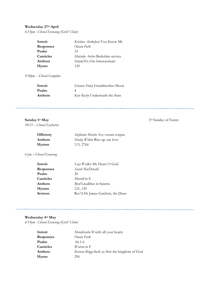# **Wednesday 27th April**

*6:15pm - Choral Evensong (Girls' Choir)*

| Introit          | Kristina Arakelyan You Know Me    |
|------------------|-----------------------------------|
| <b>Responses</b> | Owain Park                        |
| Psalm            | 33                                |
| Canticles        | Malcolm Archer Berkshire service  |
| Anthem           | <i>Ireland</i> Ex Ore Innocentium |
| Hymn             | 120                               |

*9:30pm - Choral Compline* 

| Introit | Eleanor Daley Grandmother Moon  |
|---------|---------------------------------|
| Psalm   |                                 |
| Anthem  | Kate Rusby Underneath the Stars |

*10:15 – Choral Eucharist*

| <b>Offertory</b> | Stephanie Martin Ave verum corpus |
|------------------|-----------------------------------|
| Anthem           | Healey Willan Rise up, my love    |
| <b>Hymns</b>     | 115, 276 $\ddot{\rm n}$           |

*6 pm – Choral Evensong*

| Introit   | Lucy Walker My Heart O God      |
|-----------|---------------------------------|
| Responses | Sarah MacDonald                 |
| Psalm     | 30                              |
| Canticles | <i>Murrill</i> in E             |
| Anthem    | Byrd Laudibus in Sanctis        |
| Hymns     | 121, 120                        |
| Sermon    | Rev'd Dr James Gardom, the Dean |
|           |                                 |

# **Wednesday 4th May**

*6:15pm - Choral Evensong (Girls' Choir)* 

| Introit          | Mendelssohn If with all your hearts             |
|------------------|-------------------------------------------------|
| <b>Responses</b> | Owain Park                                      |
| Psalm            | 66.1-6                                          |
| Canticles        | <i>Watson</i> in $F$                            |
| Anthem           | Kerensa Briggs Seek ye first the kingdom of God |
| Hymn             | 296                                             |

**Sunday 1st May** 3rd Sunday of Easter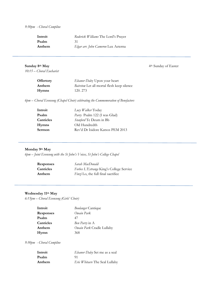### *9:30pm - Choral Compline*

| Introit | Roderick Williams The Lord's Prayer |
|---------|-------------------------------------|
| Psalm   | 31                                  |
| Anthem  | Elgar arr. John Cameron Lux Aeterna |

*10:15 – Choral Eucharist*

**Sunday 8th May** 4th Sunday of Easter

| <b>Offertory</b> | Eleanor Daley Upon your heart              |
|------------------|--------------------------------------------|
| Anthem           | Bairstow Let all mortal flesh keep silence |
| <b>Hymns</b>     | 120.273                                    |

*6pm – Choral Evensong (Chapel Choir) celebrating the Commemoration of Benefactors* 

| Introit      | Lucy Walker Today                |
|--------------|----------------------------------|
| Psalm        | Parry Psalm 122 (I was Glad)     |
| Canticles    | Stanford Te Deum in Bb           |
| <b>Hymns</b> | Old Hundredth                    |
| Sermon       | Rev'd Dr Isidore Katsos PEM 2013 |
|              |                                  |

### **Monday 9th May**

*6pm – Joint Evensong with the St John's Voices, St John's College Chapel*

| <b>Responses</b> | Sarah MacDonald                           |
|------------------|-------------------------------------------|
| Canticles        | Forbes L'Estrange King's College Service  |
| Anthem           | <i>Finzi</i> Lo, the full final sacrifice |

### **Wednesday 11th May**

*6:15pm – Choral Evensong (Girls' Choir)* 

| Introit          | Boulanger Cantique        |
|------------------|---------------------------|
| <b>Responses</b> | Owain Park                |
| Psalm            | 47                        |
| Canticles        | Ben Parry in A            |
| Anthem           | Owain Park Cradle Lullaby |
| Hymn             | 368                       |

*9:30pm - Choral Compline* 

| Introit | Eleanor Daley Set me as a seal        |
|---------|---------------------------------------|
| Psalm   | 91                                    |
| Anthem  | <i>Eric Whitacre</i> The Seal Lullaby |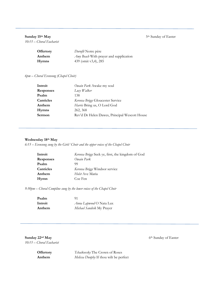# **Sunday 15<sup>th</sup> May** 5<sup>th</sup> Sunday of Easter

*10:15 – Choral Eucharist*

| <b>Offertory</b> | <i>Duruflé</i> Notre père                             |
|------------------|-------------------------------------------------------|
| Anthem           | $\Delta$ <i>my Beach</i> With prayer and supplication |
| <b>Hymns</b>     | 439 (omit v3,4), 285                                  |

### *6pm – Choral Evensong (Chapel Choir)*

| Introit          | Owain Park Awake my soul                      |
|------------------|-----------------------------------------------|
| <b>Responses</b> | Lucy Walker                                   |
| Psalm            | 138                                           |
| Canticles        | Kerensa Briggs Gloucester Service             |
| Anthem           | Harris Bring us, O Lord God                   |
| <b>Hymns</b>     | 262, 368                                      |
| Sermon           | Rev'd Dr Helen Dawes, Principal Wescott House |

#### **Wednesday 18th May**

*6:15 – Evensong sung by the Girls' Choir and the upper voices of the Chapel Choir* 

| Introit          | Kerensa Briggs Seek ye, first, the kingdom of God |
|------------------|---------------------------------------------------|
| <b>Responses</b> | Owain Park                                        |
| Psalm            | 99                                                |
| Canticles        | Kerensa Briggs Windsor service                    |
| Anthem           | Holst Ave Maria                                   |
| Hymn             | Coe Fen                                           |

*9:30pm – Choral Compline sung by the lower voices of the Chapel Choir* 

| Psalm   | 91                             |
|---------|--------------------------------|
| Introit | <i>Anna Lapwood</i> O Nata Lux |
| Anthem  | Michael Sandvik My Prayer      |

**Sunday 22<sup>nd</sup> May** 6<sup>th</sup> Sunday of Easter *10:15 – Choral Eucharist*

**Offertory** *Tchaikovsky* The Crown of Roses **Anthem** *Melissa Dunphy* If thou wilt be perfect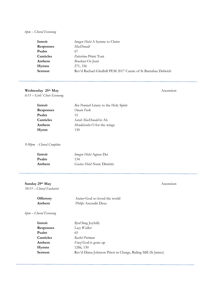### *6pm – Choral Evensong*

| Introit          | <i>Imogen Holst</i> A hymne to Christ                         |
|------------------|---------------------------------------------------------------|
| <b>Responses</b> | MacDonald                                                     |
| Psalm            | 67                                                            |
| Canticles        | <i>Palestrina</i> Primi Toni                                  |
| Anthem           | Bruckner Os Justi                                             |
| Hymns            | 271, 336                                                      |
| Sermon           | Rev'd Rachael Gledhill PEM 2017 Curate of St Barnabas Dulwich |
|                  |                                                               |

# **Wednesday 25th May** Ascension

*6:15 – Girls' Choir Evensong* 

| Introit          | Ben Ponniah Litany to the Holy Spirit |
|------------------|---------------------------------------|
| <b>Responses</b> | Owain Park                            |
| Psalm            | 15                                    |
| Canticles        | <i>Sarah MacDonald</i> in Ab          |
| Anthem           | Mendelssohn $O$ for the wings         |
| Hymn             | 130                                   |

*9:30pm - Choral Compline* 

| Introit | Imogen Holst Agnus Dei            |
|---------|-----------------------------------|
| Psalm   | 134                               |
| Anthem  | <i>Gustav Holst</i> Nunc Dimittis |

# **Sunday 29th May** Ascension

*10:15 – Choral Eucharist*

| <b>Offertory</b> | Stainer God so loved the world |
|------------------|--------------------------------|
| Anthem           | Philips Ascendit Deus          |

*6pm – Choral Evensong* 

| Introit          | <b>Byrd Sing Joyfully</b>                                    |
|------------------|--------------------------------------------------------------|
| <b>Responses</b> | Lucy Walker                                                  |
| Psalm            | 65                                                           |
| Canticles        | Rachel Portman                                               |
| Anthem           | <i>Finzi</i> God is gone up                                  |
| Hymns            | 128ii, 130                                                   |
| Sermon           | Rev'd Diana Johnson Priest in Charge, Riding Mill (St James) |
|                  |                                                              |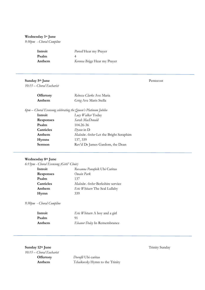### **Wednesday 1st June**

*9:30pm - Choral Compline* 

| Introit | <i>Purcell</i> Hear my Prayer |
|---------|-------------------------------|
| Psalm   |                               |
| Anthem  | Kerensa Briggs Hear my Prayer |

# **Sunday 5th June** Pentecost

*10:15 – Choral Eucharist* 

| <b>Offertory</b> | Rebecca Clarke Ave Maria |
|------------------|--------------------------|
| Anthem           | Grieg Ave Maris Stella   |

*6pm – Choral Evensong celebrating the Queen's Platinum Jubilee* 

| Introit          | Lucy Walker Today                      |
|------------------|----------------------------------------|
| <b>Responses</b> | Sarah MacDonald                        |
| Psalm            | 104.26-36                              |
| Canticles        | $Dyson$ in $D$                         |
| Anthem           | Malcolm Archer Let the Bright Seraphim |
| <b>Hymns</b>     | 137, 339                               |
| Sermon           | Rev'd Dr James Gardom, the Dean        |
|                  |                                        |

# **Wednesday 8th June**

*6:15pm - Choral Evensong (Girls' Choir)* 

| Introit          | Roxanna Panufnik Ubi Caritas     |
|------------------|----------------------------------|
| <b>Responses</b> | Owain Park                       |
| Psalm            | 137                              |
| Canticles        | Malcolm Archer Berkshire service |
| Anthem           | Eric Whitacre The Seal Lullaby   |
| Hymn             | 339                              |

*9:30pm - Choral Compline* 

| Introit | <i>Eric Whitacre A</i> boy and a girl |
|---------|---------------------------------------|
| Psalm   | 91                                    |
| Anthem  | Eleanor Daley In Remembrance          |

**Sunday 12th June** Trinity Sunday *10:15 – Choral Eucharist*

**Offertory** *Duruflé* Ubi caritas **Anthem** *Tchaikovsky* Hymn to the Trinity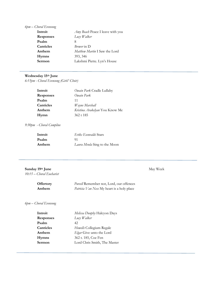# *6pm – Choral Evensong*

| Introit          | <i>Amy Beach Peace I leave with you</i> |
|------------------|-----------------------------------------|
| <b>Responses</b> | Lucy Walker                             |
| Psalm            | 8                                       |
| Canticles        | Brewer in D                             |
| Anthem           | Matthew Martin I Saw the Lord           |
| <b>Hymns</b>     | 393, 346                                |
| Sermon           | Lakshmi Piette. Lyn's House             |

# **Wednesday 15th June**

*6:15pm - Choral Evensong (Girls' Choir)* 

| Introit          | Owain Park Cradle Lullaby      |
|------------------|--------------------------------|
| <b>Responses</b> | Owain Park                     |
| Psalm            | 11                             |
| Canticles        | Wayne Marshall                 |
| Anthem           | Kristina Arakelyan You Know Me |
| Hymn             | 362 t 185                      |

# *9:30pm - Choral Compline*

| Introit | <i>Eriks Esenvalds</i> Stars |
|---------|------------------------------|
| Psalm   | 91                           |
| Anthem  | Laura Mvula Sing to the Moon |

# **Sunday 19th June** May Week

*10:15 – Choral Eucharist*

| <b>Offertory</b> | <i>Purcell</i> Remember not, Lord, our offences   |
|------------------|---------------------------------------------------|
| Anthem           | <i>Patricia Van Ness My heart is a holy place</i> |

# *6pm – Choral Evensong*

| Introit      | Melissa Dunphy Halcyon Days  |
|--------------|------------------------------|
| Responses    | Lucy Walker                  |
| Psalm        | 42.                          |
| Canticles    | Howells Collegium Regale     |
| Anthem       | Elgar Give unto the Lord     |
| <b>Hymns</b> | 362 t. 185, Coe Fen          |
| Sermon       | Lord Chris Smith, The Master |
|              |                              |